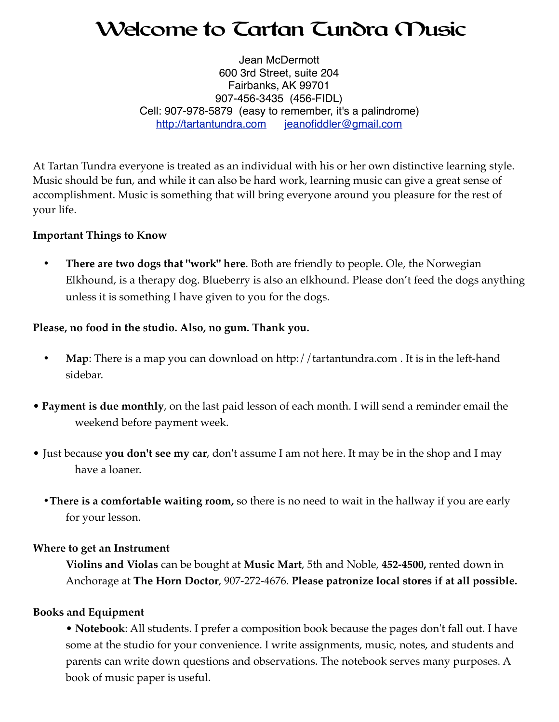# Welcome to Tartan Tundra Music

Jean McDermott 600 3rd Street, suite 204 Fairbanks, AK 99701 907-456-3435 (456-FIDL) Cell: 907-978-5879 (easy to remember, it's a palindrome) <http://tartantundra.com>[jeanofiddler@gmail.com](mailto:jeanofiddler@gmail.com)

At Tartan Tundra everyone is treated as an individual with his or her own distinctive learning style. Music should be fun, and while it can also be hard work, learning music can give a great sense of accomplishment. Music is something that will bring everyone around you pleasure for the rest of your life.

## **Important Things to Know**

**• There are two dogs that "work" here**. Both are friendly to people. Ole, the Norwegian Elkhound, is a therapy dog. Blueberry is also an elkhound. Please don't feed the dogs anything unless it is something I have given to you for the dogs.

## **Please, no food in the studio. Also, no gum. Thank you.**

- Map: There is a map you can download on http://tartantundra.com . It is in the left-hand sidebar.
- **Payment is due monthly**, on the last paid lesson of each month. I will send a reminder email the weekend before payment week.
- Just because **you don't see my car**, don't assume I am not here. It may be in the shop and I may have a loaner.
	- **•There is a comfortable waiting room,** so there is no need to wait in the hallway if you are early for your lesson.

#### **Where to get an Instrument**

**Violins and Violas** can be bought at **Music Mart**, 5th and Noble, **452-4500,** rented down in Anchorage at **The Horn Doctor**, 907-272-4676. **Please patronize local stores if at all possible.** 

# **Books and Equipment**

• **Notebook**: All students. I prefer a composition book because the pages don't fall out. I have some at the studio for your convenience. I write assignments, music, notes, and students and parents can write down questions and observations. The notebook serves many purposes. A book of music paper is useful.